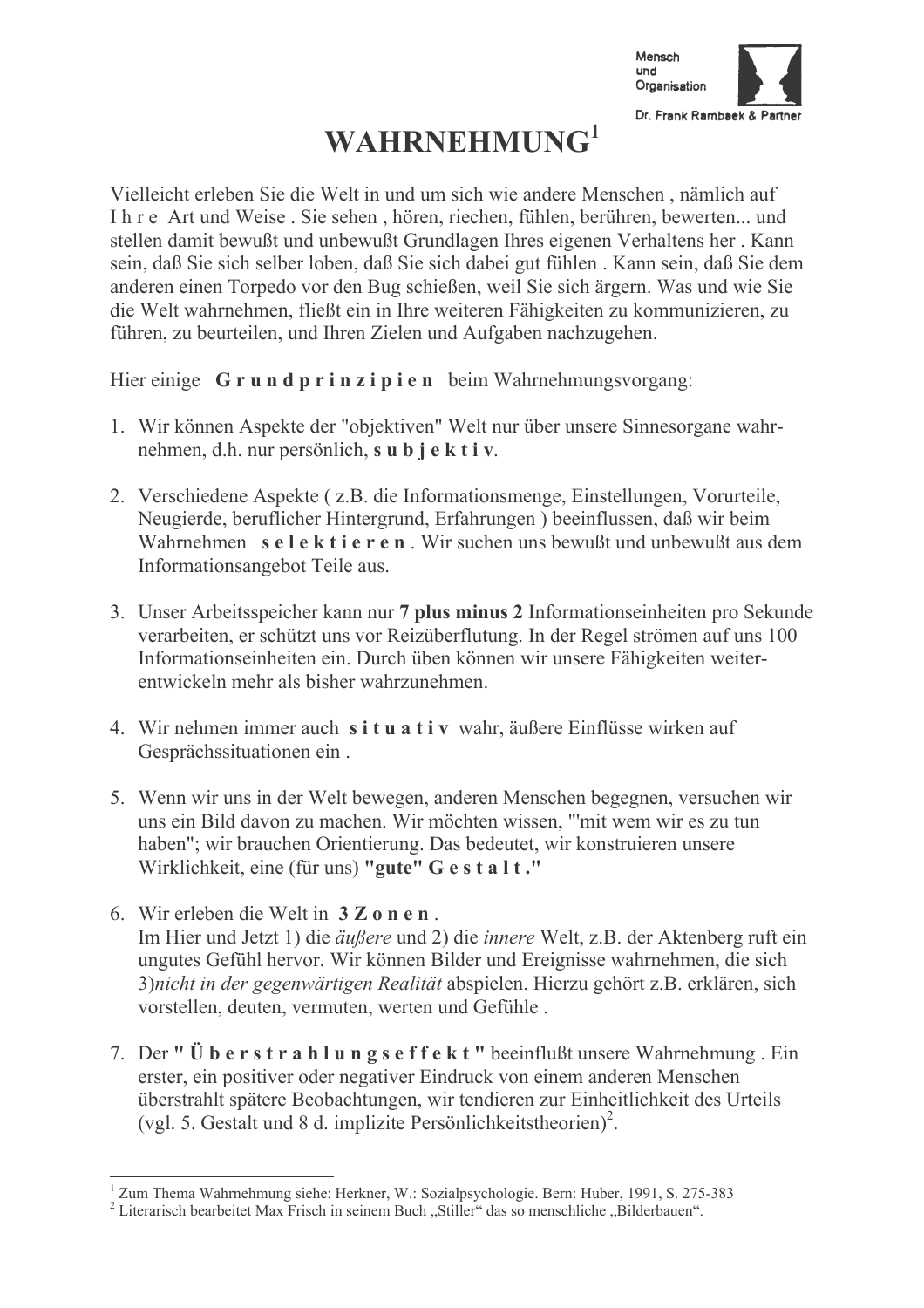

## **WAHRNEHMUNG**<sup>1</sup>

Vielleicht erleben Sie die Welt in und um sich wie andere Menschen, nämlich auf I h r e Art und Weise. Sie sehen, hören, riechen, fühlen, berühren, bewerten... und stellen damit bewußt und unbewußt Grundlagen Ihres eigenen Verhaltens her "Kann sein, daß Sie sich selber loben, daß Sie sich dabei gut fühlen. Kann sein, daß Sie dem anderen einen Torpedo vor den Bug schießen, weil Sie sich ärgern. Was und wie Sie die Welt wahrnehmen, fließt ein in Ihre weiteren Fähigkeiten zu kommunizieren, zu führen, zu beurteilen, und Ihren Zielen und Aufgaben nachzugehen.

Hier einige Grundprinzipien beim Wahrnehmungsvorgang:

- 1. Wir können Aspekte der "objektiven" Welt nur über unsere Sinnesorgane wahrnehmen, d.h. nur persönlich, s u b j e k t i v.
- 2. Verschiedene Aspekte (z.B. die Informationsmenge, Einstellungen, Vorurteile, Neugierde, beruflicher Hintergrund, Erfahrungen ) beeinflussen, daß wir beim Wahrnehmen selektieren. Wir suchen uns bewußt und unbewußt aus dem Informationsangebot Teile aus.
- 3. Unser Arbeitsspeicher kann nur 7 plus minus 2 Informationseinheiten pro Sekunde verarbeiten, er schützt uns vor Reizüberflutung. In der Regel strömen auf uns 100 Informationseinheiten ein. Durch üben können wir unsere Fähigkeiten weiterentwickeln mehr als bisher wahrzunehmen
- 4. Wir nehmen immer auch situativ wahr, äußere Einflüsse wirken auf Gesprächssituationen ein.
- 5. Wenn wir uns in der Welt bewegen, anderen Menschen begegnen, versuchen wir uns ein Bild davon zu machen. Wir möchten wissen, "'mit wem wir es zu tun haben": wir brauchen Orientierung. Das bedeutet, wir konstruieren unsere Wirklichkeit, eine (für uns) "gute" G e s t a l t."
- 6. Wir erleben die Welt in  $3 \mathbb{Z}$  on en Im Hier und Jetzt 1) die äußere und 2) die *innere* Welt, z.B. der Aktenberg ruft ein ungutes Gefühl hervor. Wir können Bilder und Ereignisse wahrnehmen, die sich 3) nicht in der gegenwärtigen Realität abspielen. Hierzu gehört z.B. erklären, sich vorstellen, deuten, vermuten, werten und Gefühle.
- 7. Der "Überstrahlungseffekt" beeinflußt unsere Wahrnehmung. Ein erster, ein positiver oder negativer Eindruck von einem anderen Menschen überstrahlt spätere Beobachtungen, wir tendieren zur Einheitlichkeit des Urteils (vgl. 5. Gestalt und 8 d. implizite Persönlichkeitstheorien)<sup>2</sup>.

<sup>&</sup>lt;sup>1</sup> Zum Thema Wahrnehmung siehe: Herkner, W.: Sozialpsychologie. Bern: Huber, 1991, S. 275-383

<sup>&</sup>lt;sup>2</sup> Literarisch bearbeitet Max Frisch in seinem Buch "Stiller" das so menschliche "Bilderbauen".